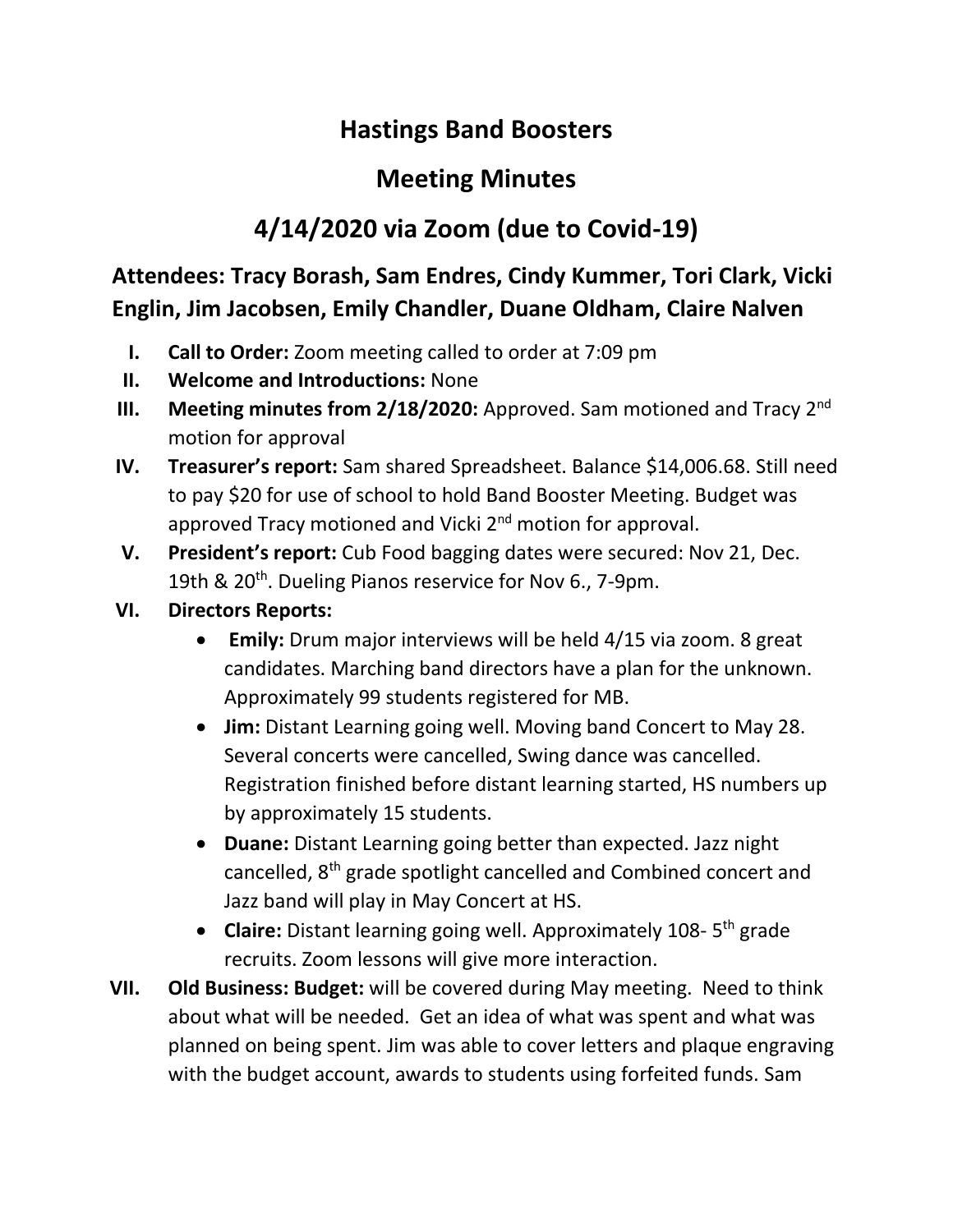## **Hastings Band Boosters**

## **Meeting Minutes**

## **4/14/2020 via Zoom (due to Covid-19)**

**Attendees: Tracy Borash, Sam Endres, Cindy Kummer, Tori Clark, Vicki Englin, Jim Jacobsen, Emily Chandler, Duane Oldham, Claire Nalven**

- **I. Call to Order:** Zoom meeting called to order at 7:09 pm
- **II. Welcome and Introductions:** None
- **III.** Meeting minutes from 2/18/2020: Approved. Sam motioned and Tracy 2<sup>nd</sup> motion for approval
- **IV. Treasurer's report:** Sam shared Spreadsheet. Balance \$14,006.68. Still need to pay \$20 for use of school to hold Band Booster Meeting. Budget was approved Tracy motioned and Vicki 2<sup>nd</sup> motion for approval.
- **V. President's report:** Cub Food bagging dates were secured: Nov 21, Dec. 19th & 20<sup>th</sup>. Dueling Pianos reservice for Nov 6., 7-9pm.
- **VI. Directors Reports:** 
	- **Emily:** Drum major interviews will be held 4/15 via zoom. 8 great candidates. Marching band directors have a plan for the unknown. Approximately 99 students registered for MB.
	- **Jim:** Distant Learning going well. Moving band Concert to May 28. Several concerts were cancelled, Swing dance was cancelled. Registration finished before distant learning started, HS numbers up by approximately 15 students.
	- **Duane:** Distant Learning going better than expected. Jazz night cancelled, 8<sup>th</sup> grade spotlight cancelled and Combined concert and Jazz band will play in May Concert at HS.
	- **Claire:** Distant learning going well. Approximately 108-5<sup>th</sup> grade recruits. Zoom lessons will give more interaction.
- **VII. Old Business: Budget:** will be covered during May meeting. Need to think about what will be needed. Get an idea of what was spent and what was planned on being spent. Jim was able to cover letters and plaque engraving with the budget account, awards to students using forfeited funds. Sam